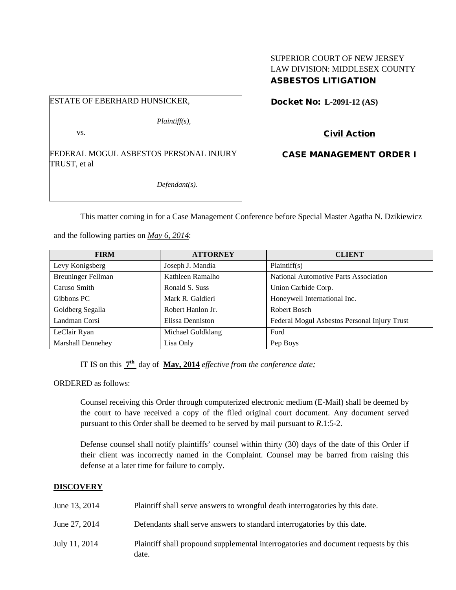# SUPERIOR COURT OF NEW JERSEY LAW DIVISION: MIDDLESEX COUNTY ASBESTOS LITIGATION

ESTATE OF EBERHARD HUNSICKER,

vs.

*Plaintiff(s),*

FEDERAL MOGUL ASBESTOS PERSONAL INJURY TRUST, et al

*Defendant(s).*

Docket No: **L-2091-12 (AS)** 

Civil Action

CASE MANAGEMENT ORDER I

This matter coming in for a Case Management Conference before Special Master Agatha N. Dzikiewicz

and the following parties on *May 6, 2014*:

| <b>FIRM</b>               | <b>ATTORNEY</b>   | <b>CLIENT</b>                                |
|---------------------------|-------------------|----------------------------------------------|
| Levy Konigsberg           | Joseph J. Mandia  | Plaintiff(s)                                 |
| <b>Breuninger Fellman</b> | Kathleen Ramalho  | National Automotive Parts Association        |
| Caruso Smith              | Ronald S. Suss    | Union Carbide Corp.                          |
| Gibbons PC                | Mark R. Galdieri  | Honeywell International Inc.                 |
| Goldberg Segalla          | Robert Hanlon Jr. | Robert Bosch                                 |
| Landman Corsi             | Elissa Denniston  | Federal Mogul Asbestos Personal Injury Trust |
| LeClair Ryan              | Michael Goldklang | Ford                                         |
| <b>Marshall Dennehey</b>  | Lisa Only         | Pep Boys                                     |

IT IS on this **7th** day of **May, 2014** *effective from the conference date;*

ORDERED as follows:

Counsel receiving this Order through computerized electronic medium (E-Mail) shall be deemed by the court to have received a copy of the filed original court document. Any document served pursuant to this Order shall be deemed to be served by mail pursuant to *R*.1:5-2.

Defense counsel shall notify plaintiffs' counsel within thirty (30) days of the date of this Order if their client was incorrectly named in the Complaint. Counsel may be barred from raising this defense at a later time for failure to comply.

## **DISCOVERY**

| June 13, 2014 | Plaintiff shall serve answers to wrongful death interrogatories by this date.                |
|---------------|----------------------------------------------------------------------------------------------|
| June 27, 2014 | Defendants shall serve answers to standard interrogatories by this date.                     |
| July 11, 2014 | Plaintiff shall propound supplemental interrogatories and document requests by this<br>date. |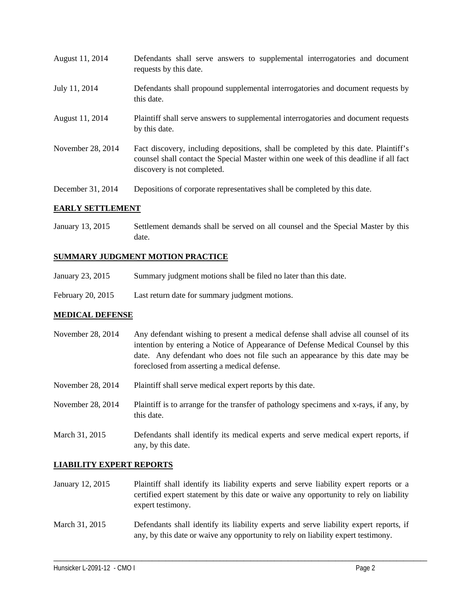| August 11, 2014   | Defendants shall serve answers to supplemental interrogatories and document<br>requests by this date.                                                                                                       |
|-------------------|-------------------------------------------------------------------------------------------------------------------------------------------------------------------------------------------------------------|
| July 11, 2014     | Defendants shall propound supplemental interrogatories and document requests by<br>this date.                                                                                                               |
| August 11, 2014   | Plaintiff shall serve answers to supplemental interrogatories and document requests<br>by this date.                                                                                                        |
| November 28, 2014 | Fact discovery, including depositions, shall be completed by this date. Plaintiff's<br>counsel shall contact the Special Master within one week of this deadline if all fact<br>discovery is not completed. |
| December 31, 2014 | Depositions of corporate representatives shall be completed by this date.                                                                                                                                   |

## **EARLY SETTLEMENT**

January 13, 2015 Settlement demands shall be served on all counsel and the Special Master by this date.

## **SUMMARY JUDGMENT MOTION PRACTICE**

- January 23, 2015 Summary judgment motions shall be filed no later than this date.
- February 20, 2015 Last return date for summary judgment motions.

#### **MEDICAL DEFENSE**

| November $28, 2014$ | Any defendant wishing to present a medical defense shall advise all counsel of its<br>intention by entering a Notice of Appearance of Defense Medical Counsel by this<br>date. Any defendant who does not file such an appearance by this date may be<br>foreclosed from asserting a medical defense. |
|---------------------|-------------------------------------------------------------------------------------------------------------------------------------------------------------------------------------------------------------------------------------------------------------------------------------------------------|
| November 28, 2014   | Plaintiff shall serve medical expert reports by this date.                                                                                                                                                                                                                                            |

- November 28, 2014 Plaintiff is to arrange for the transfer of pathology specimens and x-rays, if any, by this date.
- March 31, 2015 Defendants shall identify its medical experts and serve medical expert reports, if any, by this date.

#### **LIABILITY EXPERT REPORTS**

- January 12, 2015 Plaintiff shall identify its liability experts and serve liability expert reports or a certified expert statement by this date or waive any opportunity to rely on liability expert testimony.
- March 31, 2015 Defendants shall identify its liability experts and serve liability expert reports, if any, by this date or waive any opportunity to rely on liability expert testimony.

\_\_\_\_\_\_\_\_\_\_\_\_\_\_\_\_\_\_\_\_\_\_\_\_\_\_\_\_\_\_\_\_\_\_\_\_\_\_\_\_\_\_\_\_\_\_\_\_\_\_\_\_\_\_\_\_\_\_\_\_\_\_\_\_\_\_\_\_\_\_\_\_\_\_\_\_\_\_\_\_\_\_\_\_\_\_\_\_\_\_\_\_\_\_\_\_\_\_\_\_\_\_\_\_\_\_\_\_\_\_